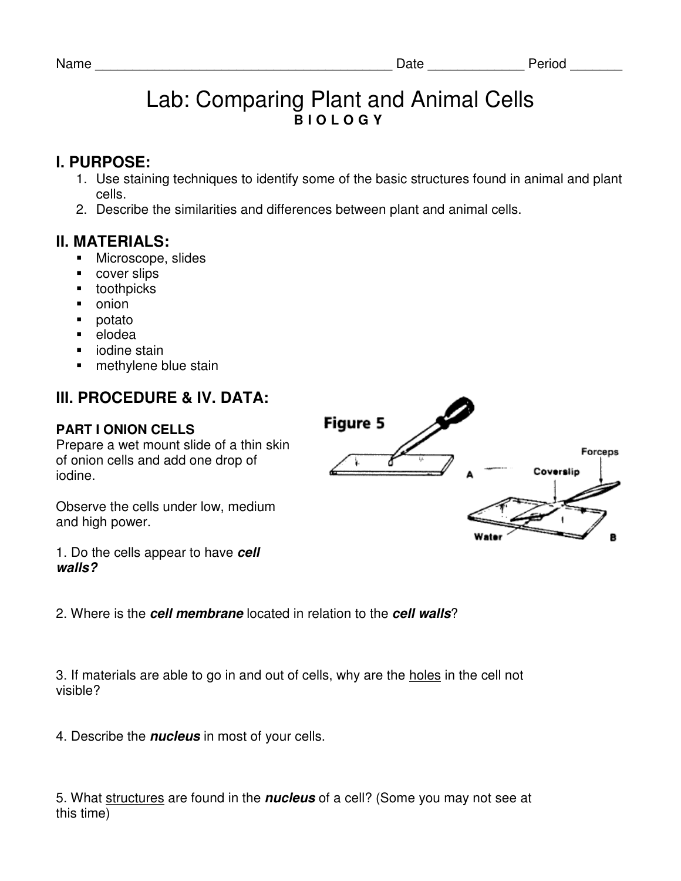# Lab: Comparing Plant and Animal Cells **B I O L O G Y**

### **I. PURPOSE:**

- 1. Use staining techniques to identify some of the basic structures found in animal and plant cells.
- 2. Describe the similarities and differences between plant and animal cells.

### **II. MATERIALS:**

- **Microscope, slides**
- **cover slips**
- **•** toothpicks
- onion
- potato
- elodea
- iodine stain
- methylene blue stain

## **III. PROCEDURE & IV. DATA:**

### **PART I ONION CELLS**

Prepare a wet mount slide of a thin skin of onion cells and add one drop of iodine.

Observe the cells under low, medium and high power.

**Figure 5** Forceps Coverslin

1. Do the cells appear to have **cell walls?** 

2. Where is the **cell membrane** located in relation to the **cell walls**?

3. If materials are able to go in and out of cells, why are the holes in the cell not visible?

4. Describe the **nucleus** in most of your cells.

5. What structures are found in the **nucleus** of a cell? (Some you may not see at this time)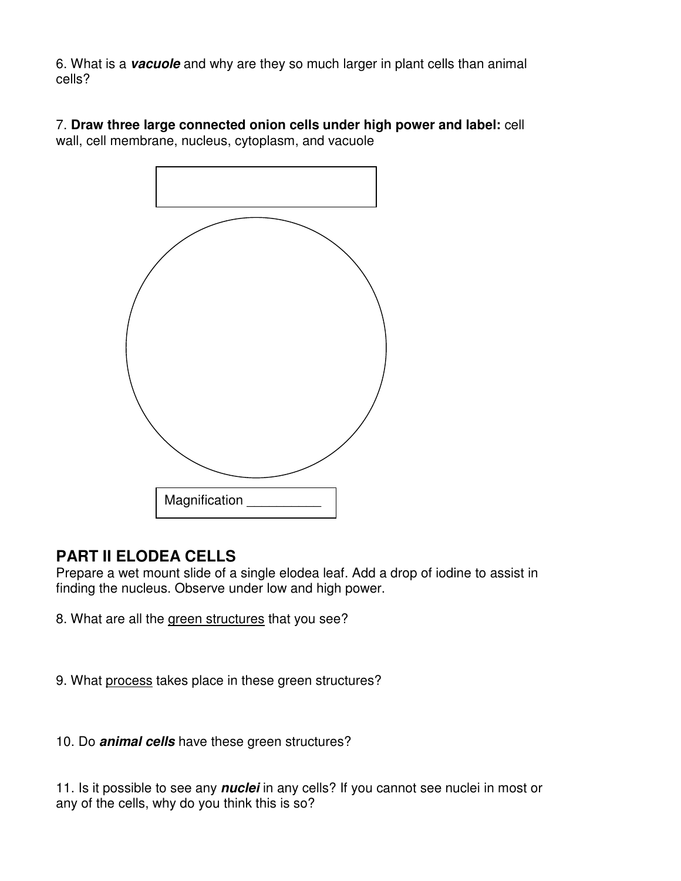6. What is a **vacuole** and why are they so much larger in plant cells than animal cells?

7. **Draw three large connected onion cells under high power and label:** cell wall, cell membrane, nucleus, cytoplasm, and vacuole



## **PART II ELODEA CELLS**

Prepare a wet mount slide of a single elodea leaf. Add a drop of iodine to assist in finding the nucleus. Observe under low and high power.

8. What are all the green structures that you see?

9. What process takes place in these green structures?

10. Do **animal cells** have these green structures?

11. Is it possible to see any **nuclei** in any cells? If you cannot see nuclei in most or any of the cells, why do you think this is so?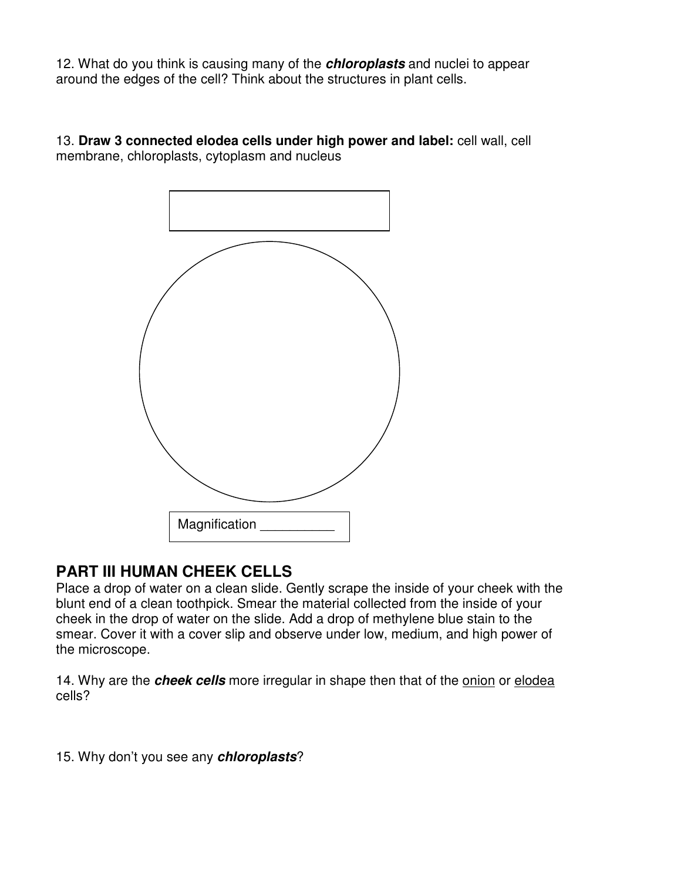12. What do you think is causing many of the **chloroplasts** and nuclei to appear around the edges of the cell? Think about the structures in plant cells.

13. **Draw 3 connected elodea cells under high power and label:** cell wall, cell membrane, chloroplasts, cytoplasm and nucleus



## **PART III HUMAN CHEEK CELLS**

Place a drop of water on a clean slide. Gently scrape the inside of your cheek with the blunt end of a clean toothpick. Smear the material collected from the inside of your cheek in the drop of water on the slide. Add a drop of methylene blue stain to the smear. Cover it with a cover slip and observe under low, medium, and high power of the microscope.

14. Why are the **cheek cells** more irregular in shape then that of the onion or elodea cells?

15. Why don't you see any **chloroplasts**?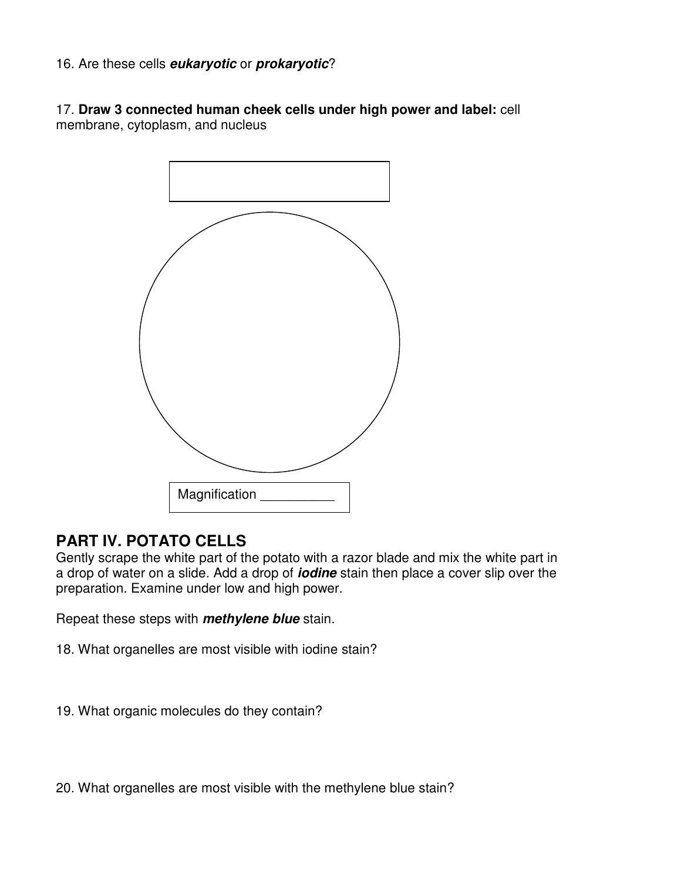#### 16. Are these cells **eukaryotic** or **prokaryotic**?

17. **Draw 3 connected human cheek cells under high power and label:** cell membrane, cytoplasm, and nucleus



### **PART IV. POTATO CELLS**

Gently scrape the white part of the potato with a razor blade and mix the white part in a drop of water on a slide. Add a drop of **iodine** stain then place a cover slip over the preparation. Examine under low and high power.

Repeat these steps with **methylene blue** stain.

- 18. What organelles are most visible with iodine stain?
- 19. What organic molecules do they contain?

20. What organelles are most visible with the methylene blue stain?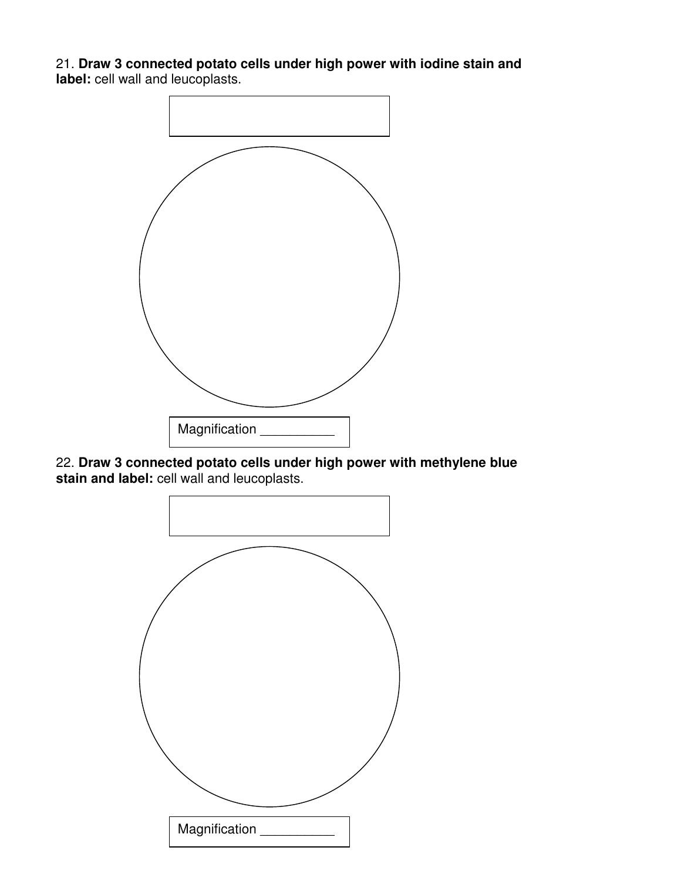21. **Draw 3 connected potato cells under high power with iodine stain and label:** cell wall and leucoplasts.



22. **Draw 3 connected potato cells under high power with methylene blue stain and label:** cell wall and leucoplasts.